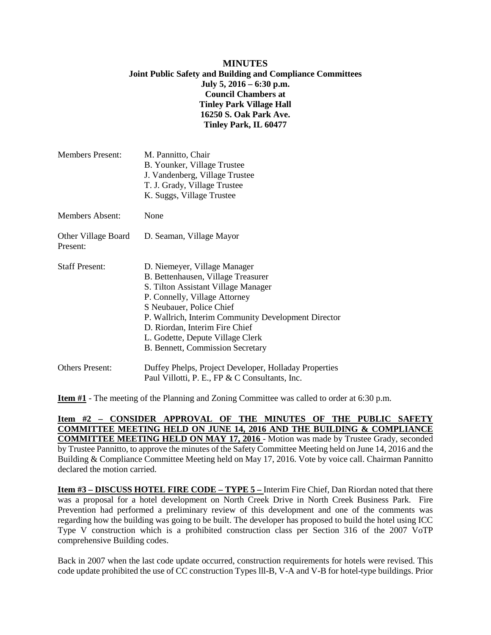### **MINUTES Joint Public Safety and Building and Compliance Committees July 5, 2016 – 6:30 p.m. Council Chambers at Tinley Park Village Hall 16250 S. Oak Park Ave. Tinley Park, IL 60477**

| <b>Members Present:</b>         | M. Pannitto, Chair<br>B. Younker, Village Trustee<br>J. Vandenberg, Village Trustee<br>T. J. Grady, Village Trustee<br>K. Suggs, Village Trustee                                                                                                                                                                                        |
|---------------------------------|-----------------------------------------------------------------------------------------------------------------------------------------------------------------------------------------------------------------------------------------------------------------------------------------------------------------------------------------|
| <b>Members Absent:</b>          | None                                                                                                                                                                                                                                                                                                                                    |
| Other Village Board<br>Present: | D. Seaman, Village Mayor                                                                                                                                                                                                                                                                                                                |
| <b>Staff Present:</b>           | D. Niemeyer, Village Manager<br>B. Bettenhausen, Village Treasurer<br>S. Tilton Assistant Village Manager<br>P. Connelly, Village Attorney<br>S Neubauer, Police Chief<br>P. Wallrich, Interim Community Development Director<br>D. Riordan, Interim Fire Chief<br>L. Godette, Depute Village Clerk<br>B. Bennett, Commission Secretary |
| <b>Others Present:</b>          | Duffey Phelps, Project Developer, Holladay Properties<br>Paul Villotti, P. E., FP & C Consultants, Inc.                                                                                                                                                                                                                                 |

**Item #1** - The meeting of the Planning and Zoning Committee was called to order at 6:30 p.m.

**Item #2 – CONSIDER APPROVAL OF THE MINUTES OF THE PUBLIC SAFETY COMMITTEE MEETING HELD ON JUNE 14, 2016 AND THE BUILDING & COMPLIANCE COMMITTEE MEETING HELD ON MAY 17, 2016** - Motion was made by Trustee Grady, seconded by Trustee Pannitto, to approve the minutes of the Safety Committee Meeting held on June 14, 2016 and the Building & Compliance Committee Meeting held on May 17, 2016. Vote by voice call. Chairman Pannitto declared the motion carried.

**Item #3 – DISCUSS HOTEL FIRE CODE – TYPE 5 –** Interim Fire Chief, Dan Riordan noted that there was a proposal for a hotel development on North Creek Drive in North Creek Business Park. Fire Prevention had performed a preliminary review of this development and one of the comments was regarding how the building was going to be built. The developer has proposed to build the hotel using ICC Type V construction which is a prohibited construction class per Section 316 of the 2007 VoTP comprehensive Building codes.

Back in 2007 when the last code update occurred, construction requirements for hotels were revised. This code update prohibited the use of CC construction Types lll-B, V-A and V-B for hotel-type buildings. Prior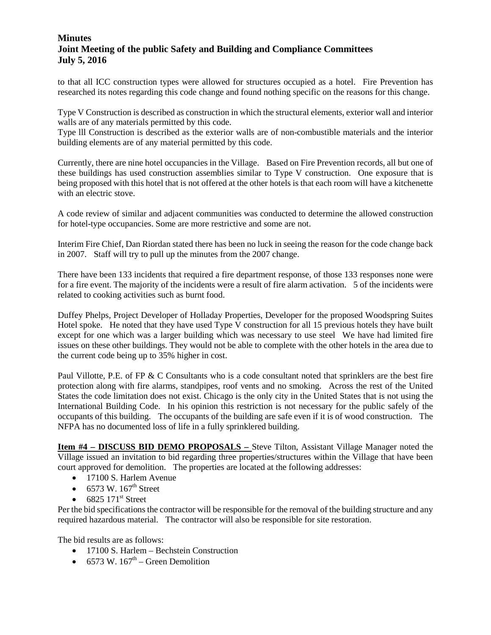# **Minutes Joint Meeting of the public Safety and Building and Compliance Committees July 5, 2016**

to that all ICC construction types were allowed for structures occupied as a hotel. Fire Prevention has researched its notes regarding this code change and found nothing specific on the reasons for this change.

Type V Construction is described as construction in which the structural elements, exterior wall and interior walls are of any materials permitted by this code.

Type lll Construction is described as the exterior walls are of non-combustible materials and the interior building elements are of any material permitted by this code.

Currently, there are nine hotel occupancies in the Village. Based on Fire Prevention records, all but one of these buildings has used construction assemblies similar to Type V construction. One exposure that is being proposed with this hotel that is not offered at the other hotels is that each room will have a kitchenette with an electric stove.

A code review of similar and adjacent communities was conducted to determine the allowed construction for hotel-type occupancies. Some are more restrictive and some are not.

Interim Fire Chief, Dan Riordan stated there has been no luck in seeing the reason for the code change back in 2007. Staff will try to pull up the minutes from the 2007 change.

There have been 133 incidents that required a fire department response, of those 133 responses none were for a fire event. The majority of the incidents were a result of fire alarm activation. 5 of the incidents were related to cooking activities such as burnt food.

Duffey Phelps, Project Developer of Holladay Properties, Developer for the proposed Woodspring Suites Hotel spoke. He noted that they have used Type V construction for all 15 previous hotels they have built except for one which was a larger building which was necessary to use steel We have had limited fire issues on these other buildings. They would not be able to complete with the other hotels in the area due to the current code being up to 35% higher in cost.

Paul Villotte, P.E. of FP & C Consultants who is a code consultant noted that sprinklers are the best fire protection along with fire alarms, standpipes, roof vents and no smoking. Across the rest of the United States the code limitation does not exist. Chicago is the only city in the United States that is not using the International Building Code. In his opinion this restriction is not necessary for the public safely of the occupants of this building. The occupants of the building are safe even if it is of wood construction. The NFPA has no documented loss of life in a fully sprinklered building.

**Item #4 – DISCUSS BID DEMO PROPOSALS –** Steve Tilton, Assistant Village Manager noted the Village issued an invitation to bid regarding three properties/structures within the Village that have been court approved for demolition. The properties are located at the following addresses:

- 17100 S. Harlem Avenue
- 6573 W.  $167<sup>th</sup>$  Street
- $6825$   $171^{\text{st}}$  Street

Per the bid specifications the contractor will be responsible for the removal of the building structure and any required hazardous material. The contractor will also be responsible for site restoration.

The bid results are as follows:

- 17100 S. Harlem Bechstein Construction
- 6573 W.  $167<sup>th</sup>$  Green Demolition